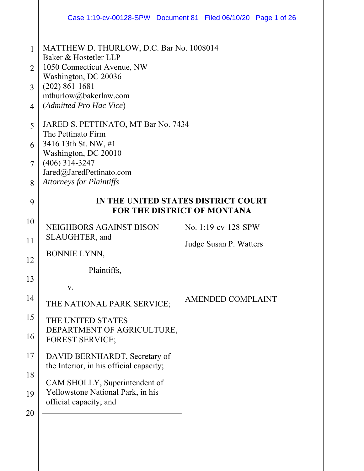|                | Case 1:19-cv-00128-SPW Document 81 Filed 06/10/20 Page 1 of 26           |                                    |  |  |
|----------------|--------------------------------------------------------------------------|------------------------------------|--|--|
| 1              | MATTHEW D. THURLOW, D.C. Bar No. 1008014<br>Baker & Hostetler LLP        |                                    |  |  |
| $\overline{2}$ | 1050 Connecticut Avenue, NW<br>Washington, DC 20036                      |                                    |  |  |
| 3              | $(202) 861 - 1681$                                                       |                                    |  |  |
| $\overline{4}$ | mthurlow@bakerlaw.com<br>(Admitted Pro Hac Vice)                         |                                    |  |  |
| 5              | JARED S. PETTINATO, MT Bar No. 7434<br>The Pettinato Firm                |                                    |  |  |
| 6              | 3416 13th St. NW, #1                                                     |                                    |  |  |
| 7              | Washington, DC 20010<br>$(406)$ 314-3247                                 |                                    |  |  |
| 8              | Jared@JaredPettinato.com<br><b>Attorneys for Plaintiffs</b>              |                                    |  |  |
| 9              | IN THE UNITED STATES DISTRICT COURT                                      | <b>FOR THE DISTRICT OF MONTANA</b> |  |  |
| 10             | NEIGHBORS AGAINST BISON                                                  | No. 1:19-cv-128-SPW                |  |  |
| 11             | SLAUGHTER, and                                                           | Judge Susan P. Watters             |  |  |
| 12             | BONNIE LYNN,                                                             |                                    |  |  |
| 13             | Plaintiffs,                                                              |                                    |  |  |
| 14             | V.                                                                       |                                    |  |  |
|                | THE NATIONAL PARK SERVICE;                                               | <b>AMENDED COMPLAINT</b>           |  |  |
| 15             | THE UNITED STATES<br>DEPARTMENT OF AGRICULTURE,                          |                                    |  |  |
| 16             | <b>FOREST SERVICE;</b>                                                   |                                    |  |  |
| 17             | DAVID BERNHARDT, Secretary of<br>the Interior, in his official capacity; |                                    |  |  |
| 18             | CAM SHOLLY, Superintendent of                                            |                                    |  |  |
| 19             | Yellowstone National Park, in his<br>official capacity; and              |                                    |  |  |
| 20             |                                                                          |                                    |  |  |
|                |                                                                          |                                    |  |  |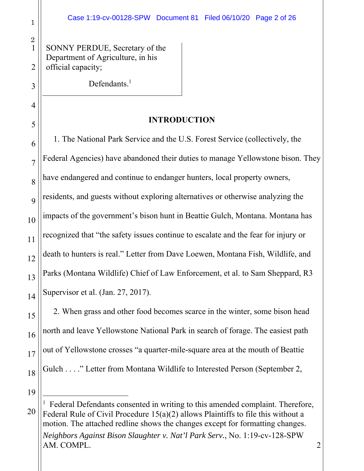SONNY PERDUE, Secretary of the Department of Agriculture, in his official capacity;

Defendants.<sup>1</sup>

### **INTRODUCTION**

8 6 9 7 10 8 15 12 16 13 17 14 9 10 11 1. The National Park Service and the U.S. Forest Service (collectively, the Federal Agencies) have abandoned their duties to manage Yellowstone bison. They have endangered and continue to endanger hunters, local property owners, residents, and guests without exploring alternatives or otherwise analyzing the impacts of the government's bison hunt in Beattie Gulch, Montana. Montana has recognized that "the safety issues continue to escalate and the fear for injury or death to hunters is real." Letter from Dave Loewen, Montana Fish, Wildlife, and Parks (Montana Wildlife) Chief of Law Enforcement, et al. to Sam Sheppard, R3 Supervisor et al. (Jan. 27, 2017).

2. When grass and other food becomes scarce in the winter, some bison head north and leave Yellowstone National Park in search of forage. The easiest path out of Yellowstone crosses "a quarter-mile-square area at the mouth of Beattie Gulch . . . ." Letter from Montana Wildlife to Interested Person (September 2,

19

18

18 15

19 16

 $\overline{a}$ 

17

1

2

5 3

6 4

7 5

<sup>20</sup> *Neighbors Against Bison Slaughter v. Nat'l Park Serv.*, No. 1:19-cv-128-SPW AM. COMPL. 2 1 Federal Defendants consented in writing to this amended complaint. Therefore, Federal Rule of Civil Procedure 15(a)(2) allows Plaintiffs to file this without a motion. The attached redline shows the changes except for formatting changes.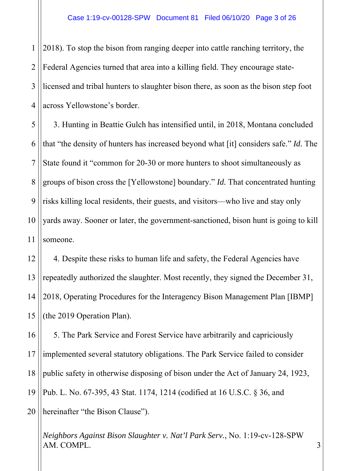$\overline{a}$ 1 2 3 4 2018). To stop the bison from ranging deeper into cattle ranching territory, the Federal Agencies turned that area into a killing field. They encourage statelicensed and tribal hunters to slaughter bison there, as soon as the bison step foot across Yellowstone's border.

5 5 6 6 7 7 8 8 9 9 10 10 11 3. Hunting in Beattie Gulch has intensified until, in 2018, Montana concluded that "the density of hunters has increased beyond what [it] considers safe." *Id.* The State found it "common for 20-30 or more hunters to shoot simultaneously as groups of bison cross the [Yellowstone] boundary." *Id.* That concentrated hunting risks killing local residents, their guests, and visitors—who live and stay only yards away. Sooner or later, the government-sanctioned, bison hunt is going to kill someone.

14 15 14 16 15 12 13 4. Despite these risks to human life and safety, the Federal Agencies have repeatedly authorized the slaughter. Most recently, they signed the December 31, 2018, Operating Procedures for the Interagency Bison Management Plan [IBMP] (the 2019 Operation Plan).

17 16 18 17 19 18  $\overline{10}$ 19 5. The Park Service and Forest Service have arbitrarily and capriciously implemented several statutory obligations. The Park Service failed to consider public safety in otherwise disposing of bison under the Act of January 24, 1923, Pub. L. No. 67-395, 43 Stat. 1174, 1214 (codified at 16 U.S.C. § 36, and

20 hereinafter "the Bison Clause").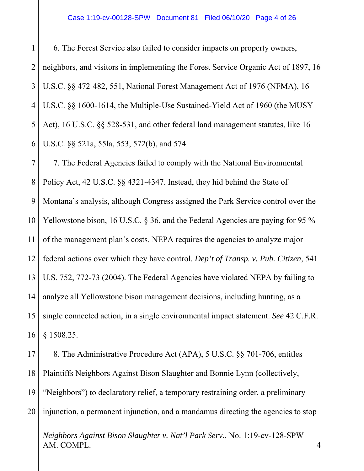$\overline{a}$ 5 5 6 6 7 7 8 8 9 9 10 10 14 15 14 16 15 17 16 18 17 19 18  $\overline{10}$ 1 2 3 4 11 12 13 6. The Forest Service also failed to consider impacts on property owners, neighbors, and visitors in implementing the Forest Service Organic Act of 1897, 16 U.S.C. §§ 472-482, 551, National Forest Management Act of 1976 (NFMA), 16 U.S.C. §§ 1600-1614, the Multiple-Use Sustained-Yield Act of 1960 (the MUSY Act), 16 U.S.C. §§ 528-531, and other federal land management statutes, like 16 U.S.C. §§ 521a, 55la, 553, 572(b), and 574. 7. The Federal Agencies failed to comply with the National Environmental Policy Act, 42 U.S.C. §§ 4321-4347. Instead, they hid behind the State of Montana's analysis, although Congress assigned the Park Service control over the Yellowstone bison, 16 U.S.C. § 36, and the Federal Agencies are paying for 95 % of the management plan's costs. NEPA requires the agencies to analyze major federal actions over which they have control. *Dep't of Transp. v. Pub. Citizen*, 541 U.S. 752, 772-73 (2004). The Federal Agencies have violated NEPA by failing to analyze all Yellowstone bison management decisions, including hunting, as a single connected action, in a single environmental impact statement. *See* 42 C.F.R. § 1508.25. 8. The Administrative Procedure Act (APA), 5 U.S.C. §§ 701-706, entitles Plaintiffs Neighbors Against Bison Slaughter and Bonnie Lynn (collectively,

19 "Neighbors") to declaratory relief, a temporary restraining order, a preliminary

20 injunction, a permanent injunction, and a mandamus directing the agencies to stop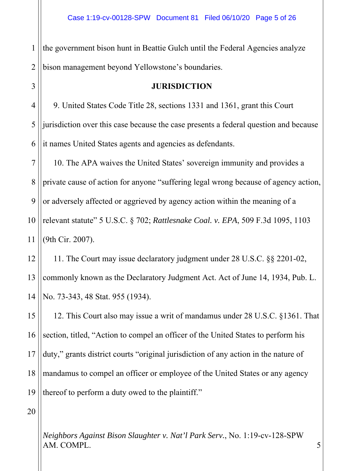$\overline{a}$ 1 2 the government bison hunt in Beattie Gulch until the Federal Agencies analyze bison management beyond Yellowstone's boundaries.

### **JURISDICTION**

5 5 6 6 4 9. United States Code Title 28, sections 1331 and 1361, grant this Court jurisdiction over this case because the case presents a federal question and because it names United States agents and agencies as defendants.

7 7 8 8 9 9 10 10 11 10. The APA waives the United States' sovereign immunity and provides a private cause of action for anyone "suffering legal wrong because of agency action, or adversely affected or aggrieved by agency action within the meaning of a relevant statute" 5 U.S.C. § 702; *Rattlesnake Coal. v. EPA*, 509 F.3d 1095, 1103 (9th Cir. 2007).

14 15 14 12 13 11. The Court may issue declaratory judgment under 28 U.S.C. §§ 2201-02, commonly known as the Declaratory Judgment Act. Act of June 14, 1934, Pub. L. No. 73-343, 48 Stat. 955 (1934).

16 15 17 16 18 17 19 18  $\overline{10}$ 19 12. This Court also may issue a writ of mandamus under 28 U.S.C. §1361. That section, titled, "Action to compel an officer of the United States to perform his duty," grants district courts "original jurisdiction of any action in the nature of mandamus to compel an officer or employee of the United States or any agency thereof to perform a duty owed to the plaintiff."

20

3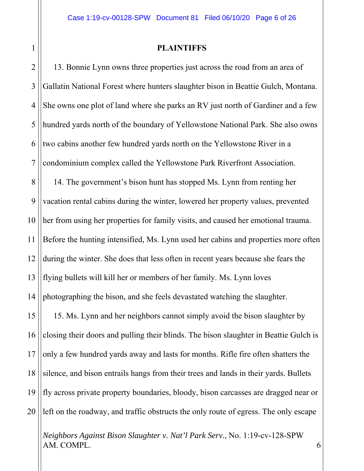1

### **PLAINTIFFS**

 $\overline{a}$ 5 5 6 6 7 7 8 8 9 9 10 10 14 15 14 16 15 17 16 18 17 19 18  $\overline{10}$ 2 3 4 11 12 13 19 20 13. Bonnie Lynn owns three properties just across the road from an area of Gallatin National Forest where hunters slaughter bison in Beattie Gulch, Montana. She owns one plot of land where she parks an RV just north of Gardiner and a few hundred yards north of the boundary of Yellowstone National Park. She also owns two cabins another few hundred yards north on the Yellowstone River in a condominium complex called the Yellowstone Park Riverfront Association. 14. The government's bison hunt has stopped Ms. Lynn from renting her vacation rental cabins during the winter, lowered her property values, prevented her from using her properties for family visits, and caused her emotional trauma. Before the hunting intensified, Ms. Lynn used her cabins and properties more often during the winter. She does that less often in recent years because she fears the flying bullets will kill her or members of her family. Ms. Lynn loves photographing the bison, and she feels devastated watching the slaughter. 15. Ms. Lynn and her neighbors cannot simply avoid the bison slaughter by closing their doors and pulling their blinds. The bison slaughter in Beattie Gulch is only a few hundred yards away and lasts for months. Rifle fire often shatters the silence, and bison entrails hangs from their trees and lands in their yards. Bullets fly across private property boundaries, bloody, bison carcasses are dragged near or left on the roadway, and traffic obstructs the only route of egress. The only escape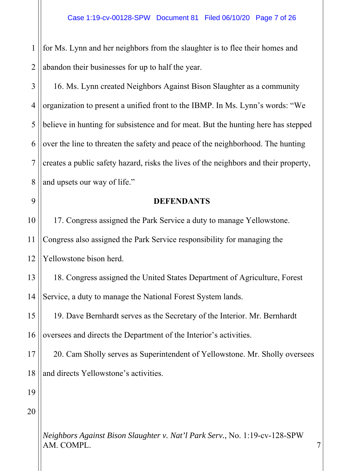$\overline{a}$ 1 2 for Ms. Lynn and her neighbors from the slaughter is to flee their homes and abandon their businesses for up to half the year.

5 5 6 6 7 7 8 8 3 4 16. Ms. Lynn created Neighbors Against Bison Slaughter as a community organization to present a unified front to the IBMP. In Ms. Lynn's words: "We believe in hunting for subsistence and for meat. But the hunting here has stepped over the line to threaten the safety and peace of the neighborhood. The hunting creates a public safety hazard, risks the lives of the neighbors and their property, and upsets our way of life."

9 9

### **DEFENDANTS**

10 10 11 12 17. Congress assigned the Park Service a duty to manage Yellowstone. Congress also assigned the Park Service responsibility for managing the Yellowstone bison herd.

14 15 14 13 18. Congress assigned the United States Department of Agriculture, Forest Service, a duty to manage the National Forest System lands.

16 15 17 16 19. Dave Bernhardt serves as the Secretary of the Interior. Mr. Bernhardt oversees and directs the Department of the Interior's activities.

18 17 19 18 20. Cam Sholly serves as Superintendent of Yellowstone. Mr. Sholly oversees and directs Yellowstone's activities.

 $\overline{10}$ 19

20

*Neighbors Against Bison Slaughter v. Nat'l Park Serv.*, No. 1:19-cv-128-SPW AM. COMPL. 2008. 2008. The state of the state of the state of the state of the state of the state of the state of the state of the state of the state of the state of the state of the state of the state of the state of the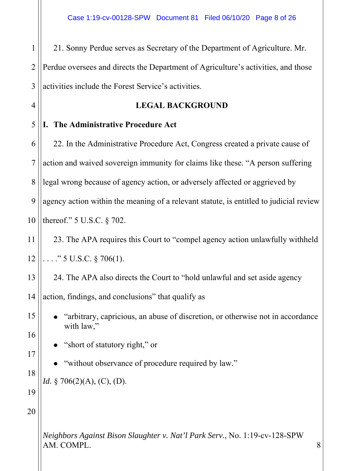$\overline{1}$ 1 2 3 21. Sonny Perdue serves as Secretary of the Department of Agriculture. Mr. Perdue oversees and directs the Department of Agriculture's activities, and those activities include the Forest Service's activities.

### **LEGAL BACKGROUND**

#### 5 5 **I. The Administrative Procedure Act**

6 6 7 7 8 8 9 9 10 10 22. In the Administrative Procedure Act, Congress created a private cause of action and waived sovereign immunity for claims like these. "A person suffering legal wrong because of agency action, or adversely affected or aggrieved by agency action within the meaning of a relevant statute, is entitled to judicial review thereof." 5 U.S.C. § 702.

11 12 23. The APA requires this Court to "compel agency action unlawfully withheld  $\ldots$ ." 5 U.S.C. § 706(1).

13 24. The APA also directs the Court to "hold unlawful and set aside agency

15 14 action, findings, and conclusions" that qualify as

> "arbitrary, capricious, an abuse of discretion, or otherwise not in accordance with law,"

"short of statutory right," or

"without observance of procedure required by law."

*Id.* § 706(2)(A), (C), (D).

20

14

4

16 15

17 16

18 17

19 18

 $\overline{10}$ 

19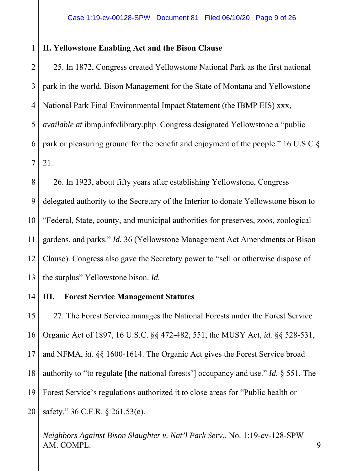#### 1 **II. Yellowstone Enabling Act and the Bison Clause**

 $\overline{a}$ 5 5 6 6 7 7 2 3 4 25. In 1872, Congress created Yellowstone National Park as the first national park in the world. Bison Management for the State of Montana and Yellowstone National Park Final Environmental Impact Statement (the IBMP EIS) xxx, *available at* ibmp.info/library.php. Congress designated Yellowstone a "public park or pleasuring ground for the benefit and enjoyment of the people." 16 U.S.C § 21.

8 8 9 9 10 10 14 11 12 13 26. In 1923, about fifty years after establishing Yellowstone, Congress delegated authority to the Secretary of the Interior to donate Yellowstone bison to "Federal, State, county, and municipal authorities for preserves, zoos, zoological gardens, and parks." *Id.* 36 (Yellowstone Management Act Amendments or Bison Clause). Congress also gave the Secretary power to "sell or otherwise dispose of the surplus" Yellowstone bison. *Id.*

#### 15 14 **III. Forest Service Management Statutes**

16 15 17 16 18 17 19 18  $\overline{10}$ 19 20 27. The Forest Service manages the National Forests under the Forest Service Organic Act of 1897, 16 U.S.C. §§ 472-482, 551, the MUSY Act, *id.* §§ 528-531, and NFMA, *id.* §§ 1600-1614. The Organic Act gives the Forest Service broad authority to "to regulate [the national forests'] occupancy and use." *Id.* § 551. The Forest Service's regulations authorized it to close areas for "Public health or safety." 36 C.F.R. § 261.53(e).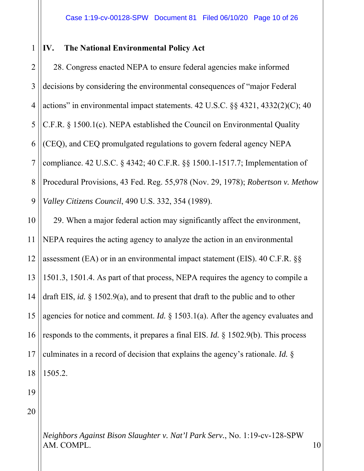#### 1 **IV. The National Environmental Policy Act**

 $\overline{a}$ 5 5 6 6 7 7 8 8 9 9 10 10 2 3 4 28. Congress enacted NEPA to ensure federal agencies make informed decisions by considering the environmental consequences of "major Federal actions" in environmental impact statements. 42 U.S.C. §§ 4321, 4332(2)(C); 40 C.F.R. § 1500.1(c). NEPA established the Council on Environmental Quality (CEQ), and CEQ promulgated regulations to govern federal agency NEPA compliance. 42 U.S.C. § 4342; 40 C.F.R. §§ 1500.1-1517.7; Implementation of Procedural Provisions, 43 Fed. Reg. 55,978 (Nov. 29, 1978); *Robertson v. Methow Valley Citizens Council*, 490 U.S. 332, 354 (1989). 29. When a major federal action may significantly affect the environment,

14 15 14 16 15 17 16 18 17 19 18 11 12 13 NEPA requires the acting agency to analyze the action in an environmental assessment (EA) or in an environmental impact statement (EIS). 40 C.F.R. §§ 1501.3, 1501.4. As part of that process, NEPA requires the agency to compile a draft EIS, *id.* § 1502.9(a), and to present that draft to the public and to other agencies for notice and comment. *Id.* § 1503.1(a). After the agency evaluates and responds to the comments, it prepares a final EIS. *Id.* § 1502.9(b). This process culminates in a record of decision that explains the agency's rationale. *Id.* § 1505.2.

 $\overline{10}$ 19

20

*Neighbors Against Bison Slaughter v. Nat'l Park Serv.*, No. 1:19-cv-128-SPW AM. COMPL. 2002. 2003. The state of the state of the state of the state of the state of the state of the state of the state of the state of the state of the state of the state of the state of the state of the state of the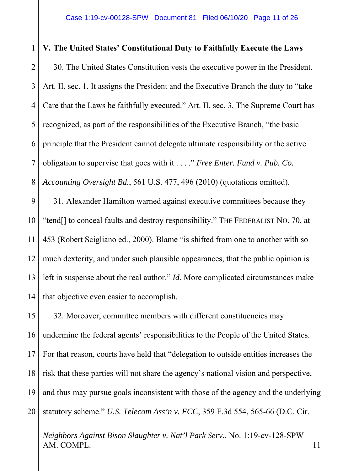### $\overline{a}$ 5 5 6 6 7 7 8 8 9 9 10 10 14 15 14 1 2 3 4 11 12 13 **V. The United States' Constitutional Duty to Faithfully Execute the Laws**  30. The United States Constitution vests the executive power in the President. Art. II, sec. 1. It assigns the President and the Executive Branch the duty to "take Care that the Laws be faithfully executed." Art. II, sec. 3. The Supreme Court has recognized, as part of the responsibilities of the Executive Branch, "the basic principle that the President cannot delegate ultimate responsibility or the active obligation to supervise that goes with it . . . ." *Free Enter. Fund v. Pub. Co. Accounting Oversight Bd.*, 561 U.S. 477, 496 (2010) (quotations omitted). 31. Alexander Hamilton warned against executive committees because they "tend[] to conceal faults and destroy responsibility." THE FEDERALIST NO. 70, at 453 (Robert Scigliano ed., 2000). Blame "is shifted from one to another with so much dexterity, and under such plausible appearances, that the public opinion is left in suspense about the real author." *Id.* More complicated circumstances make that objective even easier to accomplish.

16 15 17 16 18 17 19 18  $\overline{10}$ 19 20 32. Moreover, committee members with different constituencies may undermine the federal agents' responsibilities to the People of the United States. For that reason, courts have held that "delegation to outside entities increases the risk that these parties will not share the agency's national vision and perspective, and thus may pursue goals inconsistent with those of the agency and the underlying statutory scheme." *U.S. Telecom Ass'n v. FCC*, 359 F.3d 554, 565-66 (D.C. Cir.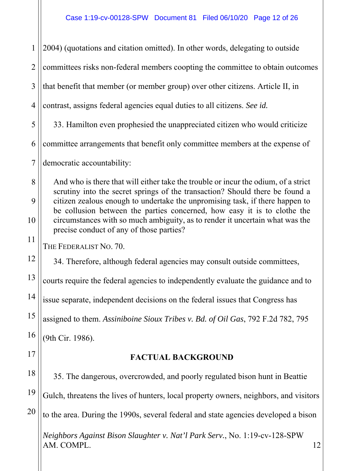$\overline{a}$ 5 5 6 6 7 7 8 8 9 9 10 10 14 15 14 16 15 17 16 18 17 19 18  $\overline{10}$ 1 2 3 4 11 12 13 19 20 *Neighbors Against Bison Slaughter v. Nat'l Park Serv.*, No. 1:19-cv-128-SPW AM. COMPL. 12 2004) (quotations and citation omitted). In other words, delegating to outside committees risks non-federal members coopting the committee to obtain outcomes that benefit that member (or member group) over other citizens. Article II, in contrast, assigns federal agencies equal duties to all citizens. *See id.* 33. Hamilton even prophesied the unappreciated citizen who would criticize committee arrangements that benefit only committee members at the expense of democratic accountability: And who is there that will either take the trouble or incur the odium, of a strict scrutiny into the secret springs of the transaction? Should there be found a citizen zealous enough to undertake the unpromising task, if there happen to be collusion between the parties concerned, how easy it is to clothe the circumstances with so much ambiguity, as to render it uncertain what was the precise conduct of any of those parties? THE FEDERALIST NO. 70. 34. Therefore, although federal agencies may consult outside committees, courts require the federal agencies to independently evaluate the guidance and to issue separate, independent decisions on the federal issues that Congress has assigned to them. *Assiniboine Sioux Tribes v. Bd. of Oil Gas*, 792 F.2d 782, 795 (9th Cir. 1986). **FACTUAL BACKGROUND**  35. The dangerous, overcrowded, and poorly regulated bison hunt in Beattie Gulch, threatens the lives of hunters, local property owners, neighbors, and visitors to the area. During the 1990s, several federal and state agencies developed a bison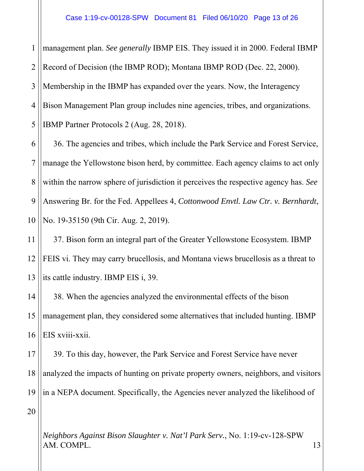$\overline{a}$ 5 5 1 2 3 4 management plan. *See generally* IBMP EIS. They issued it in 2000. Federal IBMP Record of Decision (the IBMP ROD); Montana IBMP ROD (Dec. 22, 2000). Membership in the IBMP has expanded over the years. Now, the Interagency Bison Management Plan group includes nine agencies, tribes, and organizations. IBMP Partner Protocols 2 (Aug. 28, 2018).

6 6 7 7 8 8 9 9 10 10 36. The agencies and tribes, which include the Park Service and Forest Service, manage the Yellowstone bison herd, by committee. Each agency claims to act only within the narrow sphere of jurisdiction it perceives the respective agency has. *See* Answering Br. for the Fed. Appellees 4, *Cottonwood Envtl. Law Ctr. v. Bernhardt*, No. 19-35150 (9th Cir. Aug. 2, 2019).

14 11 12 13 37. Bison form an integral part of the Greater Yellowstone Ecosystem. IBMP FEIS vi. They may carry brucellosis, and Montana views brucellosis as a threat to its cattle industry. IBMP EIS i, 39.

15 14 16 15 17 16 38. When the agencies analyzed the environmental effects of the bison management plan, they considered some alternatives that included hunting. IBMP EIS xviii-xxii.

18 17 19 18  $\overline{10}$ 19 39. To this day, however, the Park Service and Forest Service have never analyzed the impacts of hunting on private property owners, neighbors, and visitors in a NEPA document. Specifically, the Agencies never analyzed the likelihood of

20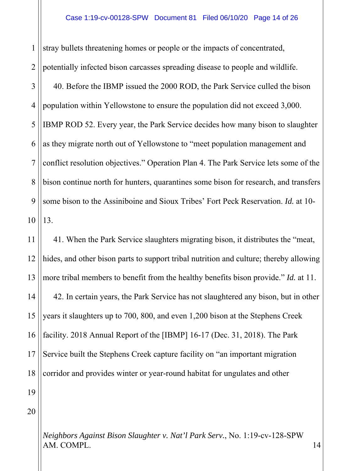$\overline{a}$ 5 5 6 6 7 7 8 8 9 9 10 10 1 2 3 4 stray bullets threatening homes or people or the impacts of concentrated, potentially infected bison carcasses spreading disease to people and wildlife. 40. Before the IBMP issued the 2000 ROD, the Park Service culled the bison population within Yellowstone to ensure the population did not exceed 3,000. IBMP ROD 52. Every year, the Park Service decides how many bison to slaughter as they migrate north out of Yellowstone to "meet population management and conflict resolution objectives." Operation Plan 4. The Park Service lets some of the bison continue north for hunters, quarantines some bison for research, and transfers some bison to the Assiniboine and Sioux Tribes' Fort Peck Reservation. *Id.* at 10- 13.

14 15 14 16 15 17 16 18 17 19 18  $\overline{10}$ 11 12 13 41. When the Park Service slaughters migrating bison, it distributes the "meat, hides, and other bison parts to support tribal nutrition and culture; thereby allowing more tribal members to benefit from the healthy benefits bison provide." *Id.* at 11. 42. In certain years, the Park Service has not slaughtered any bison, but in other years it slaughters up to 700, 800, and even 1,200 bison at the Stephens Creek facility. 2018 Annual Report of the [IBMP] 16-17 (Dec. 31, 2018). The Park Service built the Stephens Creek capture facility on "an important migration corridor and provides winter or year-round habitat for ungulates and other

20

19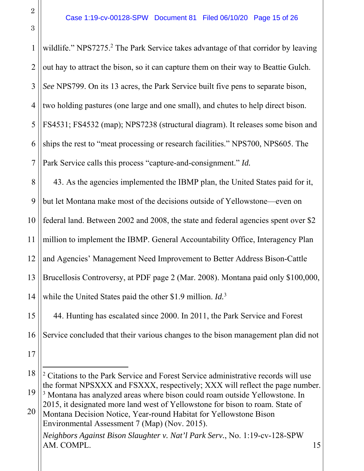4 1  $\overline{c}$ 6 10 6 11 7 12 8 13 9 14 10  $\overline{11}$ 19 20 15 21 16 22 17 3 4 5 11 12 13 14 18 19 20 *Neighbors Against Bison Slaughter v. Nat'l Park Serv.*, No. 1:19-cv-128-SPW AM. COMPL. 15 wildlife." NPS7275.<sup>2</sup> The Park Service takes advantage of that corridor by leaving out hay to attract the bison, so it can capture them on their way to Beattie Gulch. *See* NPS799. On its 13 acres, the Park Service built five pens to separate bison, two holding pastures (one large and one small), and chutes to help direct bison. FS4531; FS4532 (map); NPS7238 (structural diagram). It releases some bison and ships the rest to "meat processing or research facilities." NPS700, NPS605. The Park Service calls this process "capture-and-consignment." *Id.* 43. As the agencies implemented the IBMP plan, the United States paid for it, but let Montana make most of the decisions outside of Yellowstone—even on federal land. Between 2002 and 2008, the state and federal agencies spent over \$2 million to implement the IBMP. General Accountability Office, Interagency Plan and Agencies' Management Need Improvement to Better Address Bison-Cattle Brucellosis Controversy, at PDF page 2 (Mar. 2008). Montana paid only \$100,000, while the United States paid the other \$1.9 million. *Id.*<sup>3</sup> 44. Hunting has escalated since 2000. In 2011, the Park Service and Forest Service concluded that their various changes to the bison management plan did not <sup>2</sup> Citations to the Park Service and Forest Service administrative records will use the format NPSXXX and FSXXX, respectively; XXX will reflect the page number. <sup>3</sup> Montana has analyzed areas where bison could roam outside Yellowstone. In 2015, it designated more land west of Yellowstone for bison to roam. State of Montana Decision Notice, Year-round Habitat for Yellowstone Bison Environmental Assessment 7 (Map) (Nov. 2015).

3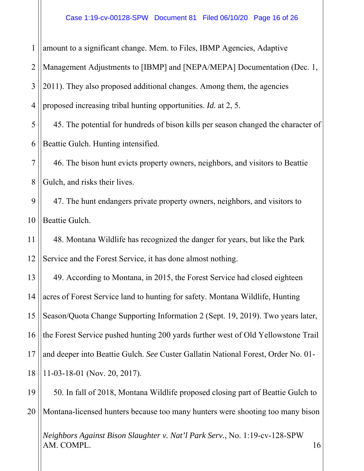$\overline{a}$ 5 5 6 6 7 7 8 8 9 9 10 10 14 15 14 16 15 17 16 18 17 19 18  $\overline{10}$ 1 2 3 4 11 12 13 19 20 amount to a significant change. Mem. to Files, IBMP Agencies, Adaptive Management Adjustments to [IBMP] and [NEPA/MEPA] Documentation (Dec. 1, 2011). They also proposed additional changes. Among them, the agencies proposed increasing tribal hunting opportunities. *Id.* at 2, 5. 45. The potential for hundreds of bison kills per season changed the character of Beattie Gulch. Hunting intensified. 46. The bison hunt evicts property owners, neighbors, and visitors to Beattie Gulch, and risks their lives. 47. The hunt endangers private property owners, neighbors, and visitors to Beattie Gulch. 48. Montana Wildlife has recognized the danger for years, but like the Park Service and the Forest Service, it has done almost nothing. 49. According to Montana, in 2015, the Forest Service had closed eighteen acres of Forest Service land to hunting for safety. Montana Wildlife, Hunting Season/Quota Change Supporting Information 2 (Sept. 19, 2019). Two years later, the Forest Service pushed hunting 200 yards further west of Old Yellowstone Trail and deeper into Beattie Gulch. *See* Custer Gallatin National Forest, Order No. 01- 11-03-18-01 (Nov. 20, 2017). 50. In fall of 2018, Montana Wildlife proposed closing part of Beattie Gulch to Montana-licensed hunters because too many hunters were shooting too many bison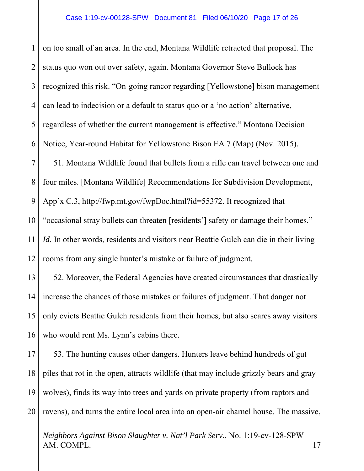$\overline{a}$ 5 5 6 6 7 7 8 8 9 9 10 10 14 15 14 16 15 17 16 18 17 19 18  $\overline{10}$ 1 2 3 4 11 12 13 19 on too small of an area. In the end, Montana Wildlife retracted that proposal. The status quo won out over safety, again. Montana Governor Steve Bullock has recognized this risk. "On-going rancor regarding [Yellowstone] bison management can lead to indecision or a default to status quo or a 'no action' alternative, regardless of whether the current management is effective." Montana Decision Notice, Year-round Habitat for Yellowstone Bison EA 7 (Map) (Nov. 2015). 51. Montana Wildlife found that bullets from a rifle can travel between one and four miles. [Montana Wildlife] Recommendations for Subdivision Development, App'x C.3, http://fwp.mt.gov/fwpDoc.html?id=55372. It recognized that "occasional stray bullets can threaten [residents'] safety or damage their homes." *Id.* In other words, residents and visitors near Beattie Gulch can die in their living rooms from any single hunter's mistake or failure of judgment. 52. Moreover, the Federal Agencies have created circumstances that drastically increase the chances of those mistakes or failures of judgment. That danger not only evicts Beattie Gulch residents from their homes, but also scares away visitors who would rent Ms. Lynn's cabins there. 53. The hunting causes other dangers. Hunters leave behind hundreds of gut piles that rot in the open, attracts wildlife (that may include grizzly bears and gray wolves), finds its way into trees and yards on private property (from raptors and

20 ravens), and turns the entire local area into an open-air charnel house. The massive,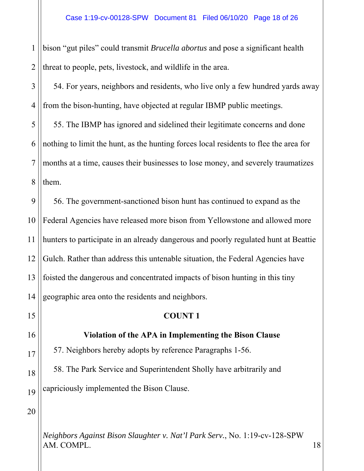$\overline{a}$ 1 2 bison "gut piles" could transmit *Brucella abortus* and pose a significant health threat to people, pets, livestock, and wildlife in the area.

3 4 54. For years, neighbors and residents, who live only a few hundred yards away from the bison-hunting, have objected at regular IBMP public meetings.

5 5 6 6 7 7 8 8 55. The IBMP has ignored and sidelined their legitimate concerns and done nothing to limit the hunt, as the hunting forces local residents to flee the area for months at a time, causes their businesses to lose money, and severely traumatizes them.

9 9 10 10 14 15 14 11 12 13 56. The government-sanctioned bison hunt has continued to expand as the Federal Agencies have released more bison from Yellowstone and allowed more hunters to participate in an already dangerous and poorly regulated hunt at Beattie Gulch. Rather than address this untenable situation, the Federal Agencies have foisted the dangerous and concentrated impacts of bison hunting in this tiny geographic area onto the residents and neighbors.

**COUNT 1** 

# 16 15 17 16 18 17

19 18

 $\overline{10}$ 

19

**Violation of the APA in Implementing the Bison Clause** 

57. Neighbors hereby adopts by reference Paragraphs 1-56.

58. The Park Service and Superintendent Sholly have arbitrarily and capriciously implemented the Bison Clause.

20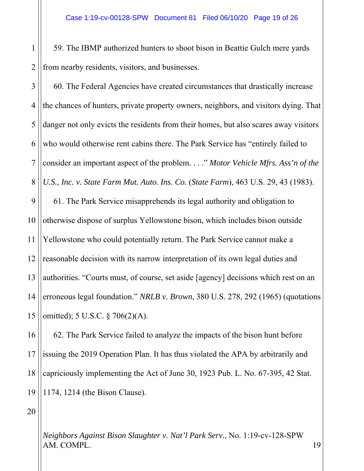$\overline{a}$ 1 2 59. The IBMP authorized hunters to shoot bison in Beattie Gulch mere yards from nearby residents, visitors, and businesses.

5 5 6 6 7 7 8 8 9 9 10 10 14 15 14 16 15 3 4 11 12 13 60. The Federal Agencies have created circumstances that drastically increase the chances of hunters, private property owners, neighbors, and visitors dying. That danger not only evicts the residents from their homes, but also scares away visitors who would otherwise rent cabins there. The Park Service has "entirely failed to consider an important aspect of the problem. . . ." *Motor Vehicle Mfrs. Ass'n of the U.S., Inc. v. State Farm Mut. Auto. Ins. Co.* (*State Farm*), 463 U.S. 29, 43 (1983). 61. The Park Service misapprehends its legal authority and obligation to otherwise dispose of surplus Yellowstone bison, which includes bison outside Yellowstone who could potentially return. The Park Service cannot make a reasonable decision with its narrow interpretation of its own legal duties and authorities. "Courts must, of course, set aside [agency] decisions which rest on an erroneous legal foundation." *NRLB v. Brown*, 380 U.S. 278, 292 (1965) (quotations omitted); 5 U.S.C. § 706(2)(A).

17 16 18 17 19 18  $\overline{10}$ 19 62. The Park Service failed to analyze the impacts of the bison hunt before issuing the 2019 Operation Plan. It has thus violated the APA by arbitrarily and capriciously implementing the Act of June 30, 1923 Pub. L. No. 67-395, 42 Stat. 1174, 1214 (the Bison Clause).

20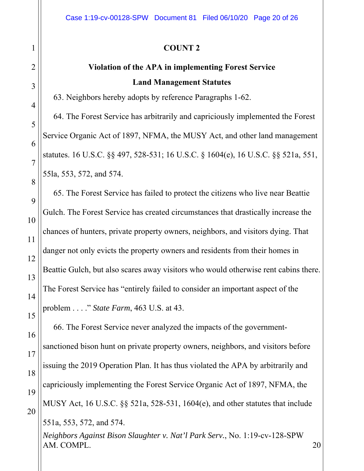| $\mathbf{1}$        | <b>COUNT 2</b>                                                                                 |  |  |
|---------------------|------------------------------------------------------------------------------------------------|--|--|
| $\overline{2}$      | <b>Violation of the APA in implementing Forest Service</b>                                     |  |  |
| 3                   | <b>Land Management Statutes</b>                                                                |  |  |
| $\overline{4}$      | 63. Neighbors hereby adopts by reference Paragraphs 1-62.                                      |  |  |
|                     | 64. The Forest Service has arbitrarily and capriciously implemented the Forest                 |  |  |
| 5                   | Service Organic Act of 1897, NFMA, the MUSY Act, and other land management                     |  |  |
| 6<br>$\overline{7}$ | statutes. 16 U.S.C. §§ 497, 528-531; 16 U.S.C. § 1604(e), 16 U.S.C. §§ 521a, 551,              |  |  |
| 8                   | 55la, 553, 572, and 574.                                                                       |  |  |
| 9                   | 65. The Forest Service has failed to protect the citizens who live near Beattie                |  |  |
| 10                  | Gulch. The Forest Service has created circumstances that drastically increase the              |  |  |
| 11                  | chances of hunters, private property owners, neighbors, and visitors dying. That               |  |  |
| 12                  | danger not only evicts the property owners and residents from their homes in                   |  |  |
| 13                  | Beattie Gulch, but also scares away visitors who would otherwise rent cabins there.            |  |  |
| 14                  | The Forest Service has "entirely failed to consider an important aspect of the                 |  |  |
| 15                  | problem " State Farm, 463 U.S. at 43.                                                          |  |  |
| 16                  | 66. The Forest Service never analyzed the impacts of the government-                           |  |  |
| 17                  | sanctioned bison hunt on private property owners, neighbors, and visitors before               |  |  |
| 18                  | issuing the 2019 Operation Plan. It has thus violated the APA by arbitrarily and               |  |  |
| 19                  | capriciously implementing the Forest Service Organic Act of 1897, NFMA, the                    |  |  |
| 20                  | MUSY Act, 16 U.S.C. $\S$ § 521a, 528-531, 1604(e), and other statutes that include             |  |  |
|                     | 551a, 553, 572, and 574.                                                                       |  |  |
|                     | Neighbors Against Bison Slaughter v. Nat'l Park Serv., No. 1:19-cv-128-SPW<br>AM. COMPL.<br>20 |  |  |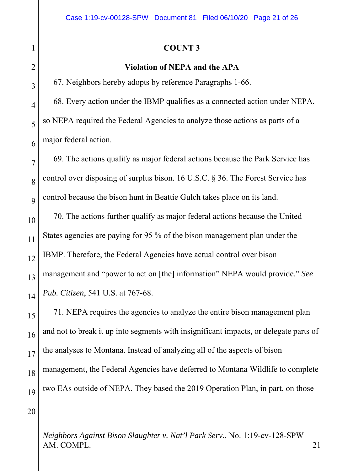### **COUNT 3**

### **Violation of NEPA and the APA**

67. Neighbors hereby adopts by reference Paragraphs 1-66.

68. Every action under the IBMP qualifies as a connected action under NEPA, so NEPA required the Federal Agencies to analyze those actions as parts of a major federal action.

69. The actions qualify as major federal actions because the Park Service has control over disposing of surplus bison. 16 U.S.C. § 36. The Forest Service has control because the bison hunt in Beattie Gulch takes place on its land.

70. The actions further qualify as major federal actions because the United States agencies are paying for 95 % of the bison management plan under the IBMP. Therefore, the Federal Agencies have actual control over bison management and "power to act on [the] information" NEPA would provide." *See Pub. Citizen*, 541 U.S. at 767-68.

71. NEPA requires the agencies to analyze the entire bison management plan and not to break it up into segments with insignificant impacts, or delegate parts of the analyses to Montana. Instead of analyzing all of the aspects of bison management, the Federal Agencies have deferred to Montana Wildlife to complete two EAs outside of NEPA. They based the 2019 Operation Plan, in part, on those

20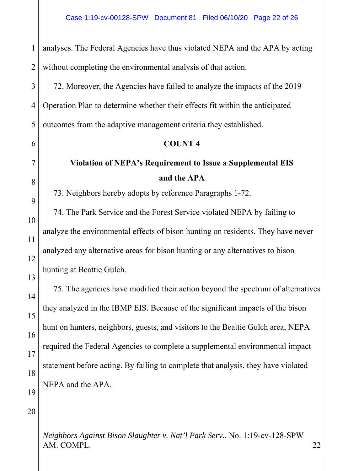$\overline{a}$ 5 5 6 6 7 7 8 8 9 9 10 10 14 15 14 16 15 17 16 18 17 19 18 1 2 3 4 11 12 13 analyses. The Federal Agencies have thus violated NEPA and the APA by acting without completing the environmental analysis of that action. 72. Moreover, the Agencies have failed to analyze the impacts of the 2019 Operation Plan to determine whether their effects fit within the anticipated outcomes from the adaptive management criteria they established. **COUNT 4 Violation of NEPA's Requirement to Issue a Supplemental EIS and the APA**  73. Neighbors hereby adopts by reference Paragraphs 1-72. 74. The Park Service and the Forest Service violated NEPA by failing to analyze the environmental effects of bison hunting on residents. They have never analyzed any alternative areas for bison hunting or any alternatives to bison hunting at Beattie Gulch. 75. The agencies have modified their action beyond the spectrum of alternatives they analyzed in the IBMP EIS. Because of the significant impacts of the bison hunt on hunters, neighbors, guests, and visitors to the Beattie Gulch area, NEPA required the Federal Agencies to complete a supplemental environmental impact statement before acting. By failing to complete that analysis, they have violated

NEPA and the APA.

20

 $\overline{10}$ 

19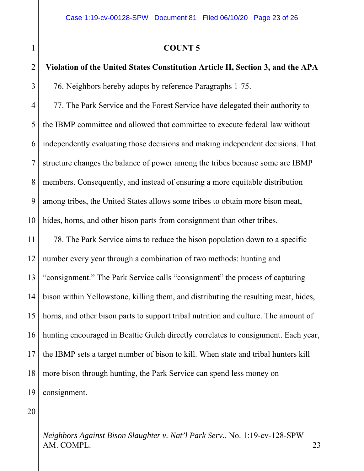### **COUNT 5**

## **Violation of the United States Constitution Article II, Section 3, and the APA**  76. Neighbors hereby adopts by reference Paragraphs 1-75.

5 5 6 6 7 7 8 8 9 9 10 10 4 77. The Park Service and the Forest Service have delegated their authority to the IBMP committee and allowed that committee to execute federal law without independently evaluating those decisions and making independent decisions. That structure changes the balance of power among the tribes because some are IBMP members. Consequently, and instead of ensuring a more equitable distribution among tribes, the United States allows some tribes to obtain more bison meat, hides, horns, and other bison parts from consignment than other tribes.

14 15 14 16 15 17 16 18 17 19 18  $\overline{10}$ 11 12 13 19 78. The Park Service aims to reduce the bison population down to a specific number every year through a combination of two methods: hunting and "consignment." The Park Service calls "consignment" the process of capturing bison within Yellowstone, killing them, and distributing the resulting meat, hides, horns, and other bison parts to support tribal nutrition and culture. The amount of hunting encouraged in Beattie Gulch directly correlates to consignment. Each year, the IBMP sets a target number of bison to kill. When state and tribal hunters kill more bison through hunting, the Park Service can spend less money on consignment.

20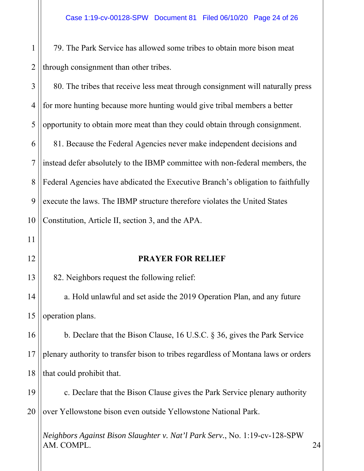$\overline{a}$ 1 2 79. The Park Service has allowed some tribes to obtain more bison meat through consignment than other tribes.

5 5 6 6 7 7 8 8 9 9 10 10 3 4 80. The tribes that receive less meat through consignment will naturally press for more hunting because more hunting would give tribal members a better opportunity to obtain more meat than they could obtain through consignment. 81. Because the Federal Agencies never make independent decisions and instead defer absolutely to the IBMP committee with non-federal members, the Federal Agencies have abdicated the Executive Branch's obligation to faithfully execute the laws. The IBMP structure therefore violates the United States Constitution, Article II, section 3, and the APA.

12

11

14

13

### **PRAYER FOR RELIEF**

82. Neighbors request the following relief:

15 14 16 15 a. Hold unlawful and set aside the 2019 Operation Plan, and any future operation plans.

17 16 18 17 19 18 b. Declare that the Bison Clause, 16 U.S.C. § 36, gives the Park Service plenary authority to transfer bison to tribes regardless of Montana laws or orders that could prohibit that.

 $\overline{10}$ 19 20 c. Declare that the Bison Clause gives the Park Service plenary authority over Yellowstone bison even outside Yellowstone National Park.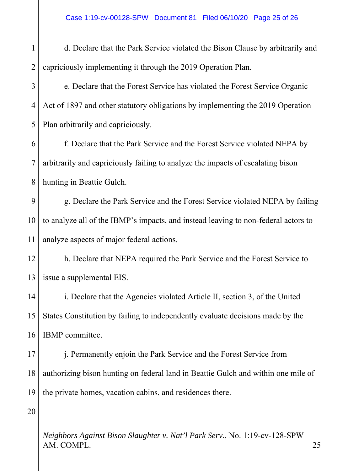| $\mathbf 1$    | d. Declare that the Park Service violated the Bison Clause by arbitrarily and      |
|----------------|------------------------------------------------------------------------------------|
| $\overline{2}$ | capriciously implementing it through the 2019 Operation Plan.                      |
| $\mathfrak{Z}$ | e. Declare that the Forest Service has violated the Forest Service Organic         |
| 4              | Act of 1897 and other statutory obligations by implementing the 2019 Operation     |
| 5              | Plan arbitrarily and capriciously.                                                 |
| 6              | f. Declare that the Park Service and the Forest Service violated NEPA by           |
| $\overline{7}$ | arbitrarily and capriciously failing to analyze the impacts of escalating bison    |
| 8              | hunting in Beattie Gulch.                                                          |
| 9              | g. Declare the Park Service and the Forest Service violated NEPA by failing        |
| 10             | to analyze all of the IBMP's impacts, and instead leaving to non-federal actors to |
| 11             | analyze aspects of major federal actions.                                          |
| 12             | h. Declare that NEPA required the Park Service and the Forest Service to           |
| 13             | issue a supplemental EIS.                                                          |
| 14             | i. Declare that the Agencies violated Article II, section 3, of the United         |
| 15             | States Constitution by failing to independently evaluate decisions made by the     |
| 16             | IBMP committee.                                                                    |
| 17             | j. Permanently enjoin the Park Service and the Forest Service from                 |
| 18             | authorizing bison hunting on federal land in Beattie Gulch and within one mile of  |
| 19             | the private homes, vacation cabins, and residences there.                          |
| 20             |                                                                                    |
|                |                                                                                    |